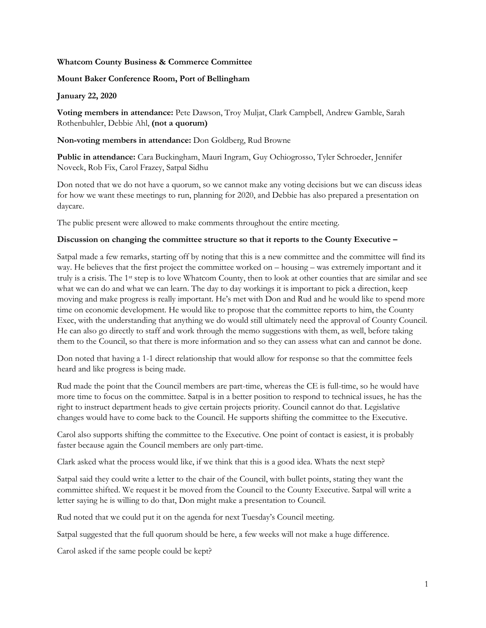# **Whatcom County Business & Commerce Committee**

# **Mount Baker Conference Room, Port of Bellingham**

#### **January 22, 2020**

**Voting members in attendance:** Pete Dawson, Troy Muljat, Clark Campbell, Andrew Gamble, Sarah Rothenbuhler, Debbie Ahl, **(not a quorum)**

# **Non-voting members in attendance:** Don Goldberg, Rud Browne

**Public in attendance:** Cara Buckingham, Mauri Ingram, Guy Ochiogrosso, Tyler Schroeder, Jennifer Noveck, Rob Fix, Carol Frazey, Satpal Sidhu

Don noted that we do not have a quorum, so we cannot make any voting decisions but we can discuss ideas for how we want these meetings to run, planning for 2020, and Debbie has also prepared a presentation on daycare.

The public present were allowed to make comments throughout the entire meeting.

### **Discussion on changing the committee structure so that it reports to the County Executive –**

Satpal made a few remarks, starting off by noting that this is a new committee and the committee will find its way. He believes that the first project the committee worked on – housing – was extremely important and it truly is a crisis. The 1st step is to love Whatcom County, then to look at other counties that are similar and see what we can do and what we can learn. The day to day workings it is important to pick a direction, keep moving and make progress is really important. He's met with Don and Rud and he would like to spend more time on economic development. He would like to propose that the committee reports to him, the County Exec, with the understanding that anything we do would still ultimately need the approval of County Council. He can also go directly to staff and work through the memo suggestions with them, as well, before taking them to the Council, so that there is more information and so they can assess what can and cannot be done.

Don noted that having a 1-1 direct relationship that would allow for response so that the committee feels heard and like progress is being made.

Rud made the point that the Council members are part-time, whereas the CE is full-time, so he would have more time to focus on the committee. Satpal is in a better position to respond to technical issues, he has the right to instruct department heads to give certain projects priority. Council cannot do that. Legislative changes would have to come back to the Council. He supports shifting the committee to the Executive.

Carol also supports shifting the committee to the Executive. One point of contact is easiest, it is probably faster because again the Council members are only part-time.

Clark asked what the process would like, if we think that this is a good idea. Whats the next step?

Satpal said they could write a letter to the chair of the Council, with bullet points, stating they want the committee shifted. We request it be moved from the Council to the County Executive. Satpal will write a letter saying he is willing to do that, Don might make a presentation to Council.

Rud noted that we could put it on the agenda for next Tuesday's Council meeting.

Satpal suggested that the full quorum should be here, a few weeks will not make a huge difference.

Carol asked if the same people could be kept?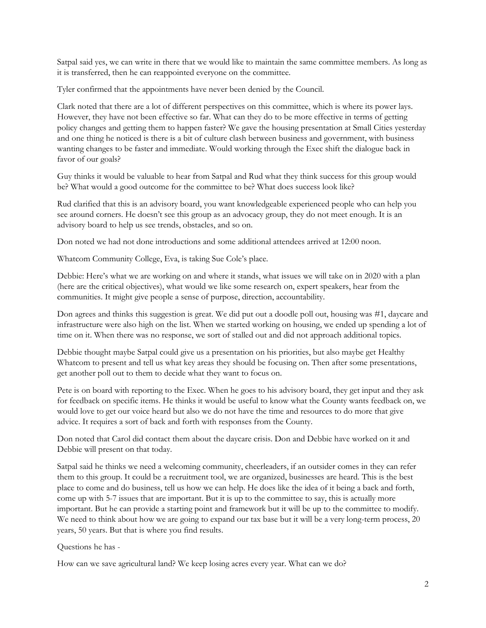Satpal said yes, we can write in there that we would like to maintain the same committee members. As long as it is transferred, then he can reappointed everyone on the committee.

Tyler confirmed that the appointments have never been denied by the Council.

Clark noted that there are a lot of different perspectives on this committee, which is where its power lays. However, they have not been effective so far. What can they do to be more effective in terms of getting policy changes and getting them to happen faster? We gave the housing presentation at Small Cities yesterday and one thing he noticed is there is a bit of culture clash between business and government, with business wanting changes to be faster and immediate. Would working through the Exec shift the dialogue back in favor of our goals?

Guy thinks it would be valuable to hear from Satpal and Rud what they think success for this group would be? What would a good outcome for the committee to be? What does success look like?

Rud clarified that this is an advisory board, you want knowledgeable experienced people who can help you see around corners. He doesn't see this group as an advocacy group, they do not meet enough. It is an advisory board to help us see trends, obstacles, and so on.

Don noted we had not done introductions and some additional attendees arrived at 12:00 noon.

Whatcom Community College, Eva, is taking Sue Cole's place.

Debbie: Here's what we are working on and where it stands, what issues we will take on in 2020 with a plan (here are the critical objectives), what would we like some research on, expert speakers, hear from the communities. It might give people a sense of purpose, direction, accountability.

Don agrees and thinks this suggestion is great. We did put out a doodle poll out, housing was #1, daycare and infrastructure were also high on the list. When we started working on housing, we ended up spending a lot of time on it. When there was no response, we sort of stalled out and did not approach additional topics.

Debbie thought maybe Satpal could give us a presentation on his priorities, but also maybe get Healthy Whatcom to present and tell us what key areas they should be focusing on. Then after some presentations, get another poll out to them to decide what they want to focus on.

Pete is on board with reporting to the Exec. When he goes to his advisory board, they get input and they ask for feedback on specific items. He thinks it would be useful to know what the County wants feedback on, we would love to get our voice heard but also we do not have the time and resources to do more that give advice. It requires a sort of back and forth with responses from the County.

Don noted that Carol did contact them about the daycare crisis. Don and Debbie have worked on it and Debbie will present on that today.

Satpal said he thinks we need a welcoming community, cheerleaders, if an outsider comes in they can refer them to this group. It could be a recruitment tool, we are organized, businesses are heard. This is the best place to come and do business, tell us how we can help. He does like the idea of it being a back and forth, come up with 5-7 issues that are important. But it is up to the committee to say, this is actually more important. But he can provide a starting point and framework but it will be up to the committee to modify. We need to think about how we are going to expand our tax base but it will be a very long-term process, 20 years, 50 years. But that is where you find results.

### Questions he has -

How can we save agricultural land? We keep losing acres every year. What can we do?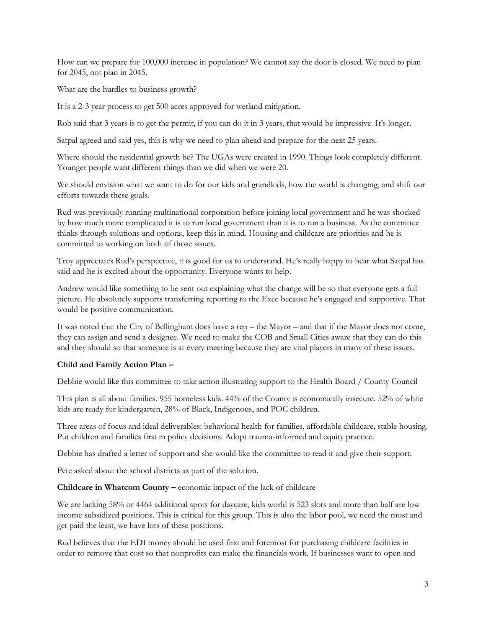How can we prepare for 100,000 increase in population? We cannot say the door is closed. We need to plan for 2045, not plan in 2045.

What are the hurdles to business growth?

It is a 2-3 year process to get 500 acres approved for wetland mitigation.

Rob said that 3 years is to get the permit, if you can do it in 3 years, that would be impressive. It's longer.

Satpal agreed and said yes, this is why we need to plan ahead and prepare for the next 25 years.

Where should the residential growth be? The UGAs were created in 1990. Things look completely different. Younger people want different things than we did when we were 20.

We should envision what we want to do for our kids and grandkids, how the world is changing, and shift our efforts towards these goals.

Rud was previously running multinational corporation before joining local government and he was shocked by how much more complicated it is to run local government than it is to run a business. As the committee thinks through solutions and options, keep this in mind. Housing and childcare are priorities and he is committed to working on both of those issues.

Troy appreciates Rud's perspective, it is good for us to understand. He's really happy to hear what Satpal has said and he is excited about the opportunity. Everyone wants to help.

Andrew would like something to be sent out explaining what the change will be so that everyone gets a full picture. He absolutely supports transferring reporting to the Exec because he's engaged and supportive. That would be positive communication.

It was noted that the City of Bellingham does have a rep – the Mayor – and that if the Mayor does not come, they can assign and send a designee. We need to make the COB and Small Cities aware that they can do this and they should so that someone is at every meeting because they are vital players in many of these issues.

### **Child and Family Action Plan –**

Debbie would like this committee to take action illustrating support to the Health Board / County Council

This plan is all about families. 955 homeless kids. 44% of the County is economically insecure. 52% of white kids are ready for kindergarten, 28% of Black, Indigenous, and POC children.

Three areas of focus and ideal deliverables: behavioral health for families, affordable childcare, stable housing. Put children and families first in policy decisions. Adopt trauma-informed and equity practice.

Debbie has drafted a letter of support and she would like the committee to read it and give their support.

Pete asked about the school districts as part of the solution.

**Childcare in Whatcom County –** economic impact of the lack of childcare

We are lacking 58% or 4464 additional spots for daycare, kids world is 523 slots and more than half are low income subsidized positions. This is critical for this group. This is also the labor pool, we need the most and get paid the least, we have lots of these positions.

Rud believes that the EDI money should be used first and foremost for purchasing childcare facilities in order to remove that cost so that nonprofits can make the financials work. If businesses want to open and